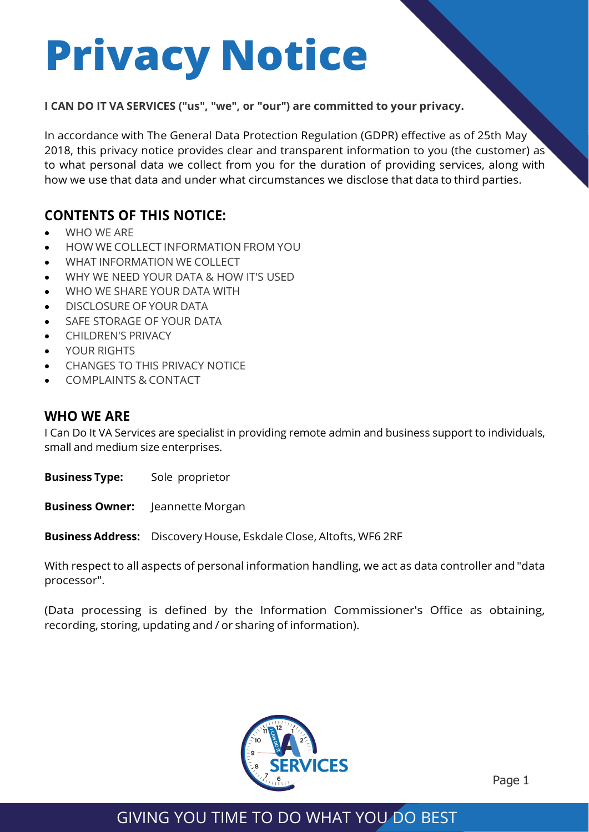# **Privacy Notice**

#### **I CAN DO IT VA SERVICES ("us", "we", or "our") are committed to your privacy.**

In accordance with The General Data Protection Regulation (GDPR) effective as of 25th May 2018, this privacy notice provides clear and transparent information to you (the customer) as to what personal data we collect from you for the duration of providing services, along with how we use that data and under what circumstances we disclose that data to third parties.

## **CONTENTS OF THIS NOTICE:**

- WHO WE ARE
- HOW WE COLLECT INFORMATION FROM YOU
- WHAT INFORMATION WE COLLECT
- WHY WE NEED YOUR DATA & HOW IT'S USED
- WHO WE SHARE YOUR DATA WITH
- DISCLOSURE OF YOUR DATA
- SAFE STORAGE OF YOUR DATA
- CHILDREN'S PRIVACY
- YOUR RIGHTS
- CHANGES TO THIS PRIVACY NOTICE
- COMPLAINTS & CONTACT

#### **WHO WE ARE**

I Can Do It VA Services are specialist in providing remote admin and business support to individuals, small and medium size enterprises.

**Business Type:** Sole proprietor

**Business Owner:** Jeannette Morgan

**Business Address:** Discovery House, Eskdale Close, Altofts, WF6 2RF

With respect to all aspects of personal information handling, we act as data controller and "data processor".

(Data processing is defined by the Information Commissioner's Office as obtaining, recording, storing, updating and / or sharing of information).



Page 1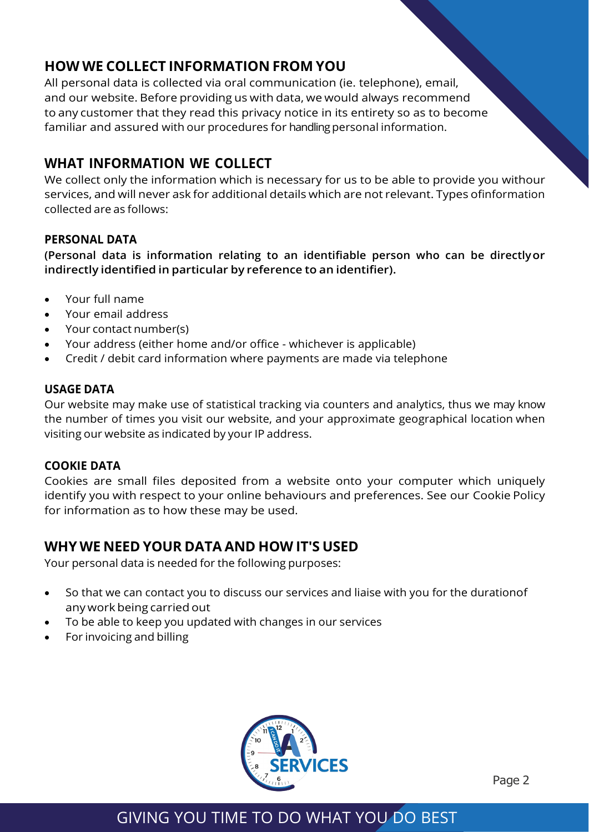## **HOW WE COLLECT INFORMATION FROM YOU**

All personal data is collected via oral communication (ie. telephone), email, and our website. Before providing us with data, we would always recommend to any customer that they read this privacy notice in its entirety so as to become familiar and assured with our procedures for handling personal information.

## **WHAT INFORMATION WE COLLECT**

We collect only the information which is necessary for us to be able to provide you withour services, and will never ask for additional details which are not relevant. Types ofinformation collected are as follows:

#### **PERSONAL DATA**

**(Personal data is information relating to an identifiable person who can be directlyor indirectly identified in particular by reference to an identifier).**

- Your full name
- Your email address
- Your contact number(s)
- Your address (either home and/or office whichever is applicable)
- Credit / debit card information where payments are made via telephone

#### **USAGE DATA**

Our website may make use of statistical tracking via counters and analytics, thus we may know the number of times you visit our website, and your approximate geographical location when visiting our website as indicated by your IP address.

#### **COOKIE DATA**

Cookies are small files deposited from a website onto your computer which uniquely identify you with respect to your online behaviours and preferences. See our Cookie Policy for information as to how these may be used.

#### **WHY WE NEED YOUR DATA AND HOW IT'S USED**

Your personal data is needed for the following purposes:

- So that we can contact you to discuss our services and liaise with you for the durationof any work being carried out
- To be able to keep you updated with changes in our services
- For invoicing and billing



Page 2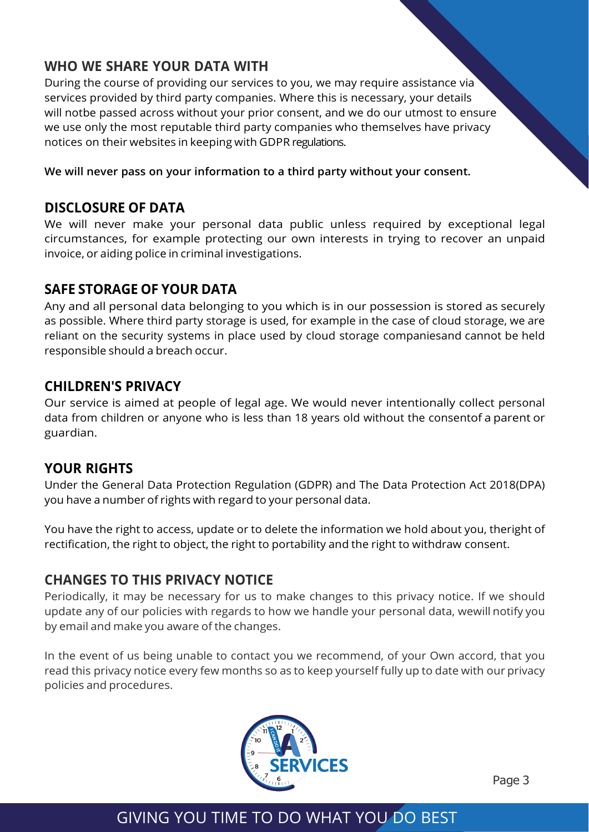## **WHO WE SHARE YOUR DATA WITH**

During the course of providing our services to you, we may require assistance via services provided by third party companies. Where this is necessary, your details will notbe passed across without your prior consent, and we do our utmost to ensure we use only the most reputable third party companies who themselves have privacy notices on their websites in keeping with GDPR regulations.

**We will never pass on your information to a third party without your consent.**

#### **DISCLOSURE OF DATA**

We will never make your personal data public unless required by exceptional legal circumstances, for example protecting our own interests in trying to recover an unpaid invoice, or aiding police in criminal investigations.

### **SAFE STORAGE OF YOUR DATA**

Any and all personal data belonging to you which is in our possession is stored as securely as possible. Where third party storage is used, for example in the case of cloud storage, we are reliant on the security systems in place used by cloud storage companiesand cannot be held responsible should a breach occur.

#### **CHILDREN'S PRIVACY**

Our service is aimed at people of legal age. We would never intentionally collect personal data from children or anyone who is less than 18 years old without the consentof a parent or guardian.

### **YOUR RIGHTS**

Under the General Data Protection Regulation (GDPR) and The Data Protection Act 2018(DPA) you have a number of rights with regard to your personal data.

You have the right to access, update or to delete the information we hold about you, theright of rectification, the right to object, the right to portability and the right to withdraw consent.

## **CHANGES TO THIS PRIVACY NOTICE**

Periodically, it may be necessary for us to make changes to this privacy notice. If we should update any of our policies with regards to how we handle your personal data, wewill notify you by email and make you aware of the changes.

In the event of us being unable to contact you we recommend, of your Own accord, that you read this privacy notice every few months so as to keep yourself fully up to date with our privacy policies and procedures.



Page 3